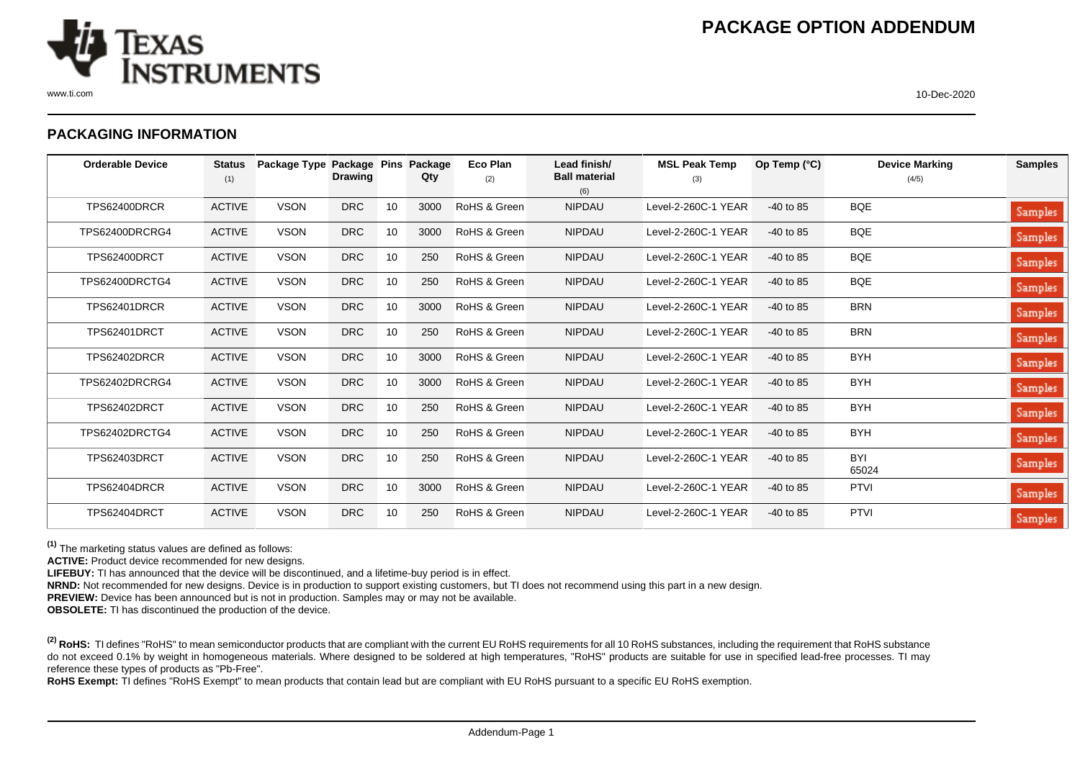

## **PACKAGING INFORMATION**

| <b>Orderable Device</b> | <b>Status</b><br>(1) | Package Type Package Pins | <b>Drawing</b> |    | Package<br>Qty | <b>Eco Plan</b><br>(2) | Lead finish/<br><b>Ball material</b> | <b>MSL Peak Temp</b><br>(3) | Op Temp $(°C)$ | <b>Device Marking</b><br>(4/5) | <b>Samples</b> |
|-------------------------|----------------------|---------------------------|----------------|----|----------------|------------------------|--------------------------------------|-----------------------------|----------------|--------------------------------|----------------|
| TPS62400DRCR            | <b>ACTIVE</b>        | <b>VSON</b>               | <b>DRC</b>     | 10 | 3000           | RoHS & Green           | (6)<br><b>NIPDAU</b>                 | Level-2-260C-1 YEAR         | $-40$ to 85    | <b>BQE</b>                     |                |
|                         |                      |                           |                |    |                |                        |                                      |                             |                |                                | Samples        |
| TPS62400DRCRG4          | <b>ACTIVE</b>        | <b>VSON</b>               | <b>DRC</b>     | 10 | 3000           | RoHS & Green           | <b>NIPDAU</b>                        | Level-2-260C-1 YEAR         | $-40$ to 85    | <b>BQE</b>                     | Samples        |
| TPS62400DRCT            | <b>ACTIVE</b>        | <b>VSON</b>               | <b>DRC</b>     | 10 | 250            | RoHS & Green           | <b>NIPDAU</b>                        | Level-2-260C-1 YEAR         | $-40$ to 85    | BQE                            | Samples        |
| TPS62400DRCTG4          | <b>ACTIVE</b>        | <b>VSON</b>               | <b>DRC</b>     | 10 | 250            | RoHS & Green           | <b>NIPDAU</b>                        | Level-2-260C-1 YEAR         | $-40$ to 85    | <b>BQE</b>                     | Samples        |
| TPS62401DRCR            | <b>ACTIVE</b>        | <b>VSON</b>               | <b>DRC</b>     | 10 | 3000           | RoHS & Green           | <b>NIPDAU</b>                        | Level-2-260C-1 YEAR         | $-40$ to 85    | <b>BRN</b>                     | Samples        |
| TPS62401DRCT            | <b>ACTIVE</b>        | <b>VSON</b>               | <b>DRC</b>     | 10 | 250            | RoHS & Green           | <b>NIPDAU</b>                        | Level-2-260C-1 YEAR         | $-40$ to 85    | <b>BRN</b>                     | Samples        |
| TPS62402DRCR            | <b>ACTIVE</b>        | <b>VSON</b>               | <b>DRC</b>     | 10 | 3000           | RoHS & Green           | <b>NIPDAU</b>                        | Level-2-260C-1 YEAR         | $-40$ to 85    | <b>BYH</b>                     | Samples        |
| TPS62402DRCRG4          | <b>ACTIVE</b>        | <b>VSON</b>               | <b>DRC</b>     | 10 | 3000           | RoHS & Green           | <b>NIPDAU</b>                        | Level-2-260C-1 YEAR         | $-40$ to 85    | <b>BYH</b>                     | Samples        |
| TPS62402DRCT            | <b>ACTIVE</b>        | <b>VSON</b>               | <b>DRC</b>     | 10 | 250            | RoHS & Green           | <b>NIPDAU</b>                        | Level-2-260C-1 YEAR         | $-40$ to 85    | <b>BYH</b>                     | Samples        |
| TPS62402DRCTG4          | <b>ACTIVE</b>        | <b>VSON</b>               | <b>DRC</b>     | 10 | 250            | RoHS & Green           | <b>NIPDAU</b>                        | Level-2-260C-1 YEAR         | $-40$ to 85    | <b>BYH</b>                     | Samples        |
| TPS62403DRCT            | <b>ACTIVE</b>        | <b>VSON</b>               | <b>DRC</b>     | 10 | 250            | RoHS & Green           | <b>NIPDAU</b>                        | Level-2-260C-1 YEAR         | $-40$ to 85    | <b>BYI</b><br>65024            | Samples        |
| TPS62404DRCR            | <b>ACTIVE</b>        | <b>VSON</b>               | <b>DRC</b>     | 10 | 3000           | RoHS & Green           | <b>NIPDAU</b>                        | Level-2-260C-1 YEAR         | $-40$ to 85    | <b>PTVI</b>                    | Samples        |
| TPS62404DRCT            | <b>ACTIVE</b>        | <b>VSON</b>               | <b>DRC</b>     | 10 | 250            | RoHS & Green           | <b>NIPDAU</b>                        | Level-2-260C-1 YEAR         | $-40$ to 85    | <b>PTVI</b>                    | Samples        |

**(1)** The marketing status values are defined as follows:

**ACTIVE:** Product device recommended for new designs.

LIFEBUY: TI has announced that the device will be discontinued, and a lifetime-buy period is in effect.

**NRND:** Not recommended for new designs. Device is in production to support existing customers, but TI does not recommend using this part in a new design.

**PREVIEW:** Device has been announced but is not in production. Samples may or may not be available.

**OBSOLETE:** TI has discontinued the production of the device.

<sup>(2)</sup> RoHS: TI defines "RoHS" to mean semiconductor products that are compliant with the current EU RoHS requirements for all 10 RoHS substances, including the requirement that RoHS substance do not exceed 0.1% by weight in homogeneous materials. Where designed to be soldered at high temperatures, "RoHS" products are suitable for use in specified lead-free processes. TI may reference these types of products as "Pb-Free".

RoHS Exempt: TI defines "RoHS Exempt" to mean products that contain lead but are compliant with EU RoHS pursuant to a specific EU RoHS exemption.